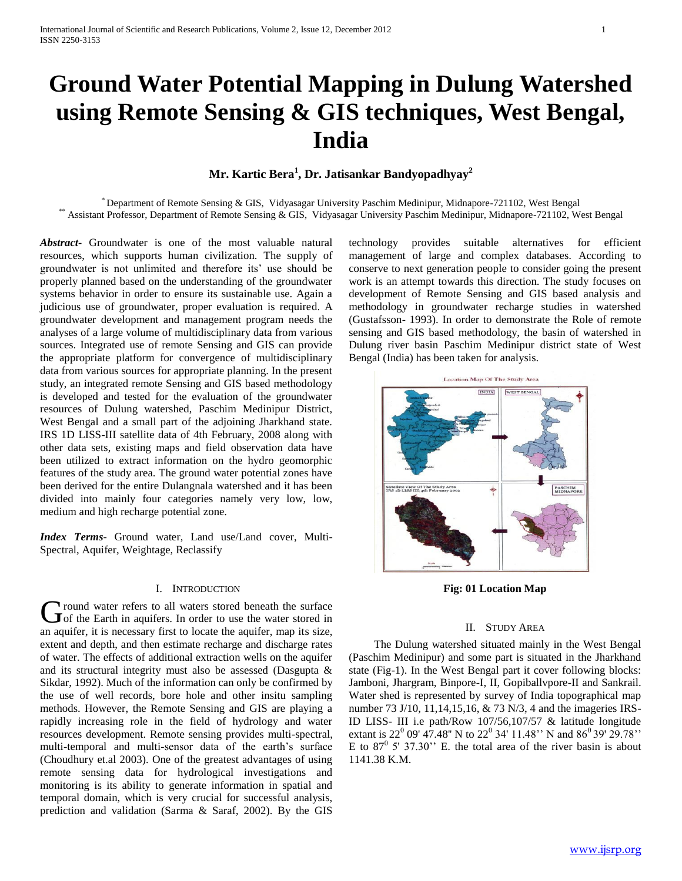# **Ground Water Potential Mapping in Dulung Watershed using Remote Sensing & GIS techniques, West Bengal, India**

# **Mr. Kartic Bera<sup>1</sup> , Dr. Jatisankar Bandyopadhyay<sup>2</sup>**

\* Department of Remote Sensing & GIS, Vidyasagar University Paschim Medinipur, Midnapore-721102, West Bengal \*\* Assistant Professor, Department of Remote Sensing & GIS, Vidyasagar University Paschim Medinipur, Midnapore-721102, West Bengal

*Abstract***-** Groundwater is one of the most valuable natural resources, which supports human civilization. The supply of groundwater is not unlimited and therefore its' use should be properly planned based on the understanding of the groundwater systems behavior in order to ensure its sustainable use. Again a judicious use of groundwater, proper evaluation is required. A groundwater development and management program needs the analyses of a large volume of multidisciplinary data from various sources. Integrated use of remote Sensing and GIS can provide the appropriate platform for convergence of multidisciplinary data from various sources for appropriate planning. In the present study, an integrated remote Sensing and GIS based methodology is developed and tested for the evaluation of the groundwater resources of Dulung watershed, Paschim Medinipur District, West Bengal and a small part of the adjoining Jharkhand state. IRS 1D LISS-III satellite data of 4th February, 2008 along with other data sets, existing maps and field observation data have been utilized to extract information on the hydro geomorphic features of the study area. The ground water potential zones have been derived for the entire Dulangnala watershed and it has been divided into mainly four categories namely very low, low, medium and high recharge potential zone.

*Index Terms*- Ground water, Land use/Land cover, Multi-Spectral, Aquifer, Weightage, Reclassify

### I. INTRODUCTION

round water refers to all waters stored beneath the surface Ground water refers to all waters stored beneath the surface<br>
of the Earth in aquifers. In order to use the water stored in an aquifer, it is necessary first to locate the aquifer, map its size, extent and depth, and then estimate recharge and discharge rates of water. The effects of additional extraction wells on the aquifer and its structural integrity must also be assessed (Dasgupta & Sikdar, 1992). Much of the information can only be confirmed by the use of well records, bore hole and other insitu sampling methods. However, the Remote Sensing and GIS are playing a rapidly increasing role in the field of hydrology and water resources development. Remote sensing provides multi-spectral, multi-temporal and multi-sensor data of the earth's surface (Choudhury et.al 2003). One of the greatest advantages of using remote sensing data for hydrological investigations and monitoring is its ability to generate information in spatial and temporal domain, which is very crucial for successful analysis, prediction and validation (Sarma & Saraf, 2002). By the GIS

technology provides suitable alternatives for efficient management of large and complex databases. According to conserve to next generation people to consider going the present work is an attempt towards this direction. The study focuses on development of Remote Sensing and GIS based analysis and methodology in groundwater recharge studies in watershed (Gustafsson- 1993). In order to demonstrate the Role of remote sensing and GIS based methodology, the basin of watershed in Dulung river basin Paschim Medinipur district state of West Bengal (India) has been taken for analysis.



**Fig: 01 Location Map**

#### II. STUDY AREA

The Dulung watershed situated mainly in the West Bengal (Paschim Medinipur) and some part is situated in the Jharkhand state (Fig-1). In the West Bengal part it cover following blocks: Jamboni, Jhargram, Binpore-I, II, Gopiballvpore-II and Sankrail. Water shed is represented by survey of India topographical map number 73 J/10, 11,14,15,16, & 73 N/3, 4 and the imageries IRS-ID LISS- III i.e path/Row 107/56,107/57 & latitude longitude extant is 22<sup>0</sup> 09' 47.48" N to 22<sup>0</sup> 34' 11.48" N and 86<sup>0</sup> 39' 29.78" E to  $87^{\circ}$  5' 37.30" E. the total area of the river basin is about 1141.38 K.M.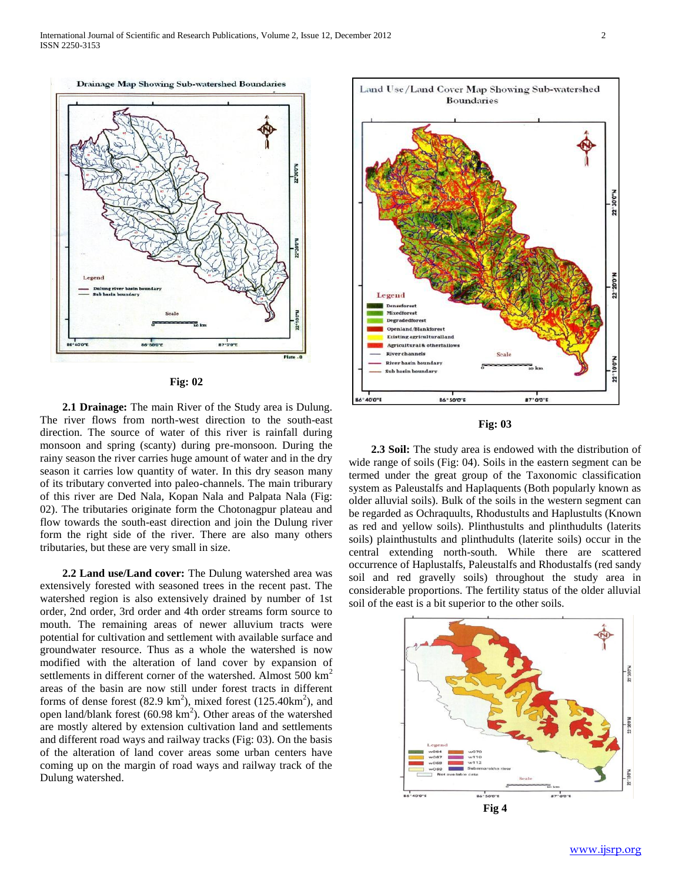Drainage Map Showing Sub-watershed Boundaries





 **2.1 Drainage:** The main River of the Study area is Dulung. The river flows from north-west direction to the south-east direction. The source of water of this river is rainfall during monsoon and spring (scanty) during pre-monsoon. During the rainy season the river carries huge amount of water and in the dry season it carries low quantity of water. In this dry season many of its tributary converted into paleo-channels. The main triburary of this river are Ded Nala, Kopan Nala and Palpata Nala (Fig: 02). The tributaries originate form the Chotonagpur plateau and flow towards the south-east direction and join the Dulung river form the right side of the river. There are also many others tributaries, but these are very small in size.

 **2.2 Land use/Land cover:** The Dulung watershed area was extensively forested with seasoned trees in the recent past. The watershed region is also extensively drained by number of 1st order, 2nd order, 3rd order and 4th order streams form source to mouth. The remaining areas of newer alluvium tracts were potential for cultivation and settlement with available surface and groundwater resource. Thus as a whole the watershed is now modified with the alteration of land cover by expansion of settlements in different corner of the watershed. Almost  $500 \text{ km}^2$ areas of the basin are now still under forest tracts in different forms of dense forest  $(82.9 \text{ km}^2)$ , mixed forest  $(125.40 \text{ km}^2)$ , and open land/blank forest  $(60.98 \text{ km}^2)$ . Other areas of the watershed are mostly altered by extension cultivation land and settlements and different road ways and railway tracks (Fig: 03). On the basis of the alteration of land cover areas some urban centers have coming up on the margin of road ways and railway track of the Dulung watershed.





 **2.3 Soil:** The study area is endowed with the distribution of wide range of soils (Fig: 04). Soils in the eastern segment can be termed under the great group of the Taxonomic classification system as Paleustalfs and Haplaquents (Both popularly known as older alluvial soils). Bulk of the soils in the western segment can be regarded as Ochraquults, Rhodustults and Haplustults (Known as red and yellow soils). Plinthustults and plinthudults (laterits soils) plainthustults and plinthudults (laterite soils) occur in the central extending north-south. While there are scattered occurrence of Haplustalfs, Paleustalfs and Rhodustalfs (red sandy soil and red gravelly soils) throughout the study area in considerable proportions. The fertility status of the older alluvial soil of the east is a bit superior to the other soils.

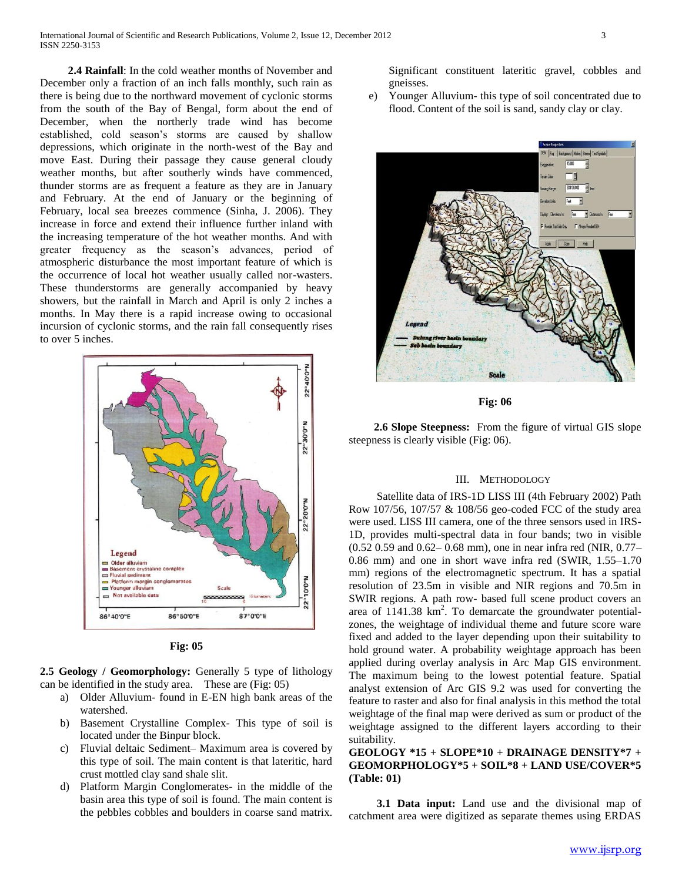**2.4 Rainfall**: In the cold weather months of November and December only a fraction of an inch falls monthly, such rain as there is being due to the northward movement of cyclonic storms from the south of the Bay of Bengal, form about the end of December, when the northerly trade wind has become established, cold season's storms are caused by shallow depressions, which originate in the north-west of the Bay and move East. During their passage they cause general cloudy weather months, but after southerly winds have commenced, thunder storms are as frequent a feature as they are in January and February. At the end of January or the beginning of February, local sea breezes commence (Sinha, J. 2006). They increase in force and extend their influence further inland with the increasing temperature of the hot weather months. And with greater frequency as the season's advances, period of atmospheric disturbance the most important feature of which is the occurrence of local hot weather usually called nor-wasters. These thunderstorms are generally accompanied by heavy showers, but the rainfall in March and April is only 2 inches a months. In May there is a rapid increase owing to occasional incursion of cyclonic storms, and the rain fall consequently rises to over 5 inches.



**Fig: 05**

**2.5 Geology / Geomorphology:** Generally 5 type of lithology can be identified in the study area. These are (Fig: 05)

- a) Older Alluvium- found in E-EN high bank areas of the watershed.
- b) Basement Crystalline Complex- This type of soil is located under the Binpur block.
- c) Fluvial deltaic Sediment– Maximum area is covered by this type of soil. The main content is that lateritic, hard crust mottled clay sand shale slit.
- d) Platform Margin Conglomerates- in the middle of the basin area this type of soil is found. The main content is the pebbles cobbles and boulders in coarse sand matrix.

Significant constituent lateritic gravel, cobbles and gneisses.

e) Younger Alluvium- this type of soil concentrated due to flood. Content of the soil is sand, sandy clay or clay.



**Fig: 06**

 **2.6 Slope Steepness:** From the figure of virtual GIS slope steepness is clearly visible (Fig: 06).

### III. METHODOLOGY

Satellite data of IRS-1D LISS III (4th February 2002) Path Row 107/56, 107/57 & 108/56 geo-coded FCC of the study area were used. LISS III camera, one of the three sensors used in IRS-1D, provides multi-spectral data in four bands; two in visible (0.52 0.59 and 0.62– 0.68 mm), one in near infra red (NIR, 0.77– 0.86 mm) and one in short wave infra red (SWIR, 1.55–1.70 mm) regions of the electromagnetic spectrum. It has a spatial resolution of 23.5m in visible and NIR regions and 70.5m in SWIR regions. A path row- based full scene product covers an area of  $1141.38 \text{ km}^2$ . To demarcate the groundwater potentialzones, the weightage of individual theme and future score ware fixed and added to the layer depending upon their suitability to hold ground water. A probability weightage approach has been applied during overlay analysis in Arc Map GIS environment. The maximum being to the lowest potential feature. Spatial analyst extension of Arc GIS 9.2 was used for converting the feature to raster and also for final analysis in this method the total weightage of the final map were derived as sum or product of the weightage assigned to the different layers according to their suitability.

## **GEOLOGY \*15 + SLOPE\*10 + DRAINAGE DENSITY\*7 + GEOMORPHOLOGY\*5 + SOIL\*8 + LAND USE/COVER\*5 (Table: 01)**

 **3.1 Data input:** Land use and the divisional map of catchment area were digitized as separate themes using ERDAS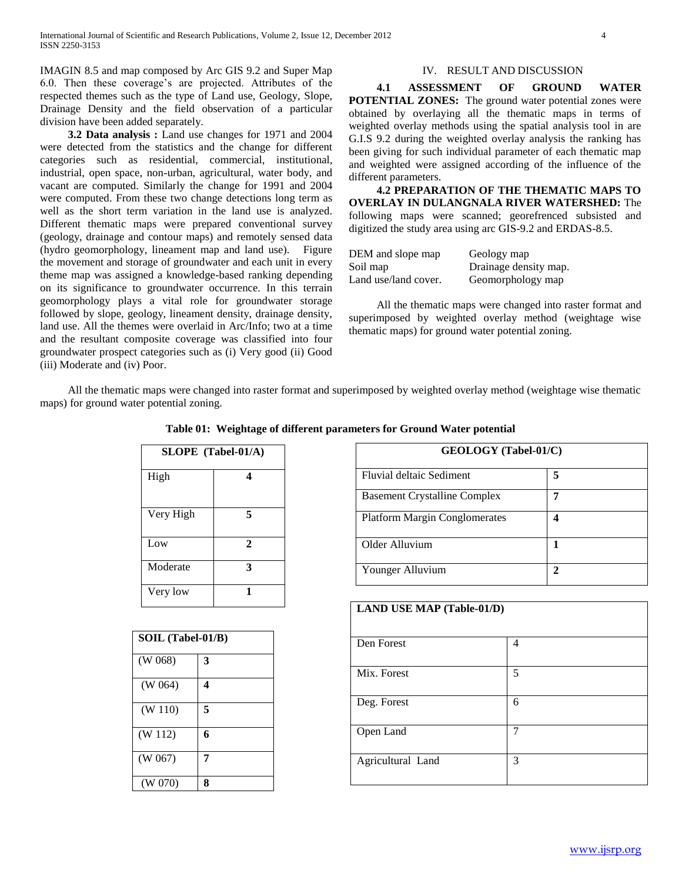IMAGIN 8.5 and map composed by Arc GIS 9.2 and Super Map 6.0. Then these coverage's are projected. Attributes of the respected themes such as the type of Land use, Geology, Slope, Drainage Density and the field observation of a particular division have been added separately.

 **3.2 Data analysis :** Land use changes for 1971 and 2004 were detected from the statistics and the change for different categories such as residential, commercial, institutional, industrial, open space, non-urban, agricultural, water body, and vacant are computed. Similarly the change for 1991 and 2004 were computed. From these two change detections long term as well as the short term variation in the land use is analyzed. Different thematic maps were prepared conventional survey (geology, drainage and contour maps) and remotely sensed data (hydro geomorphology, lineament map and land use). Figure the movement and storage of groundwater and each unit in every theme map was assigned a knowledge-based ranking depending on its significance to groundwater occurrence. In this terrain geomorphology plays a vital role for groundwater storage followed by slope, geology, lineament density, drainage density, land use. All the themes were overlaid in Arc/Info; two at a time and the resultant composite coverage was classified into four groundwater prospect categories such as (i) Very good (ii) Good (iii) Moderate and (iv) Poor.

## IV. RESULT AND DISCUSSION

 **4.1 ASSESSMENT OF GROUND WATER POTENTIAL ZONES:** The ground water potential zones were obtained by overlaying all the thematic maps in terms of weighted overlay methods using the spatial analysis tool in are G.I.S 9.2 during the weighted overlay analysis the ranking has been giving for such individual parameter of each thematic map and weighted were assigned according of the influence of the different parameters.

 **4.2 PREPARATION OF THE THEMATIC MAPS TO OVERLAY IN DULANGNALA RIVER WATERSHED:** The following maps were scanned; georefrenced subsisted and digitized the study area using arc GIS-9.2 and ERDAS-8.5.

| DEM and slope map    | Geology map           |
|----------------------|-----------------------|
| Soil map             | Drainage density map. |
| Land use/land cover. | Geomorphology map     |

All the thematic maps were changed into raster format and superimposed by weighted overlay method (weightage wise thematic maps) for ground water potential zoning.

All the thematic maps were changed into raster format and superimposed by weighted overlay method (weightage wise thematic maps) for ground water potential zoning.

| SLOPE (Tabel-01/A) |              |
|--------------------|--------------|
| High               | 4            |
| Very High          | 5            |
| Low                | $\mathbf{2}$ |
| Moderate           | 3            |
| Very low           |              |

| SOIL (Tabel-01/B) |   |  |
|-------------------|---|--|
| (W 068)           | 3 |  |
| (W 064)           | 4 |  |
| (W 110)           | 5 |  |
| (W 112)           | 6 |  |
| (W 067)           | 7 |  |
| (W 070)           | 8 |  |

**Table 01: Weightage of different parameters for Ground Water potential**

| <b>GEOLOGY</b> (Tabel-01/C)          |   |  |
|--------------------------------------|---|--|
| Fluvial deltaic Sediment             | 5 |  |
| <b>Basement Crystalline Complex</b>  |   |  |
| <b>Platform Margin Conglomerates</b> |   |  |
| Older Alluvium                       |   |  |
| Younger Alluvium                     |   |  |

| <b>LAND USE MAP (Table-01/D)</b> |   |  |
|----------------------------------|---|--|
| Den Forest                       | 4 |  |
| Mix. Forest                      | 5 |  |
| Deg. Forest                      | 6 |  |
| Open Land                        | 7 |  |
| Agricultural Land                | 3 |  |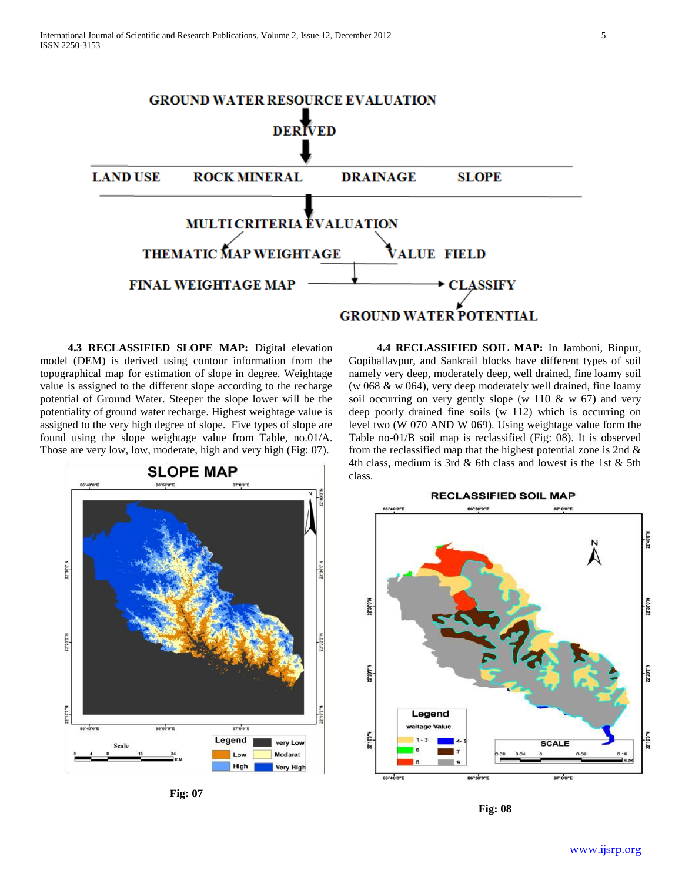

 **4.3 RECLASSIFIED SLOPE MAP:** Digital elevation model (DEM) is derived using contour information from the topographical map for estimation of slope in degree. Weightage value is assigned to the different slope according to the recharge potential of Ground Water. Steeper the slope lower will be the potentiality of ground water recharge. Highest weightage value is assigned to the very high degree of slope. Five types of slope are found using the slope weightage value from Table, no.01/A. Those are very low, low, moderate, high and very high (Fig: 07).



**Fig: 07**

 **4.4 RECLASSIFIED SOIL MAP:** In Jamboni, Binpur, Gopiballavpur, and Sankrail blocks have different types of soil namely very deep, moderately deep, well drained, fine loamy soil (w 068 & w 064), very deep moderately well drained, fine loamy soil occurring on very gently slope (w 110  $\&$  w 67) and very deep poorly drained fine soils (w 112) which is occurring on level two (W 070 AND W 069). Using weightage value form the Table no-01/B soil map is reclassified (Fig: 08). It is observed from the reclassified map that the highest potential zone is 2nd  $\&$ 4th class, medium is 3rd & 6th class and lowest is the 1st & 5th class.



**Fig: 08**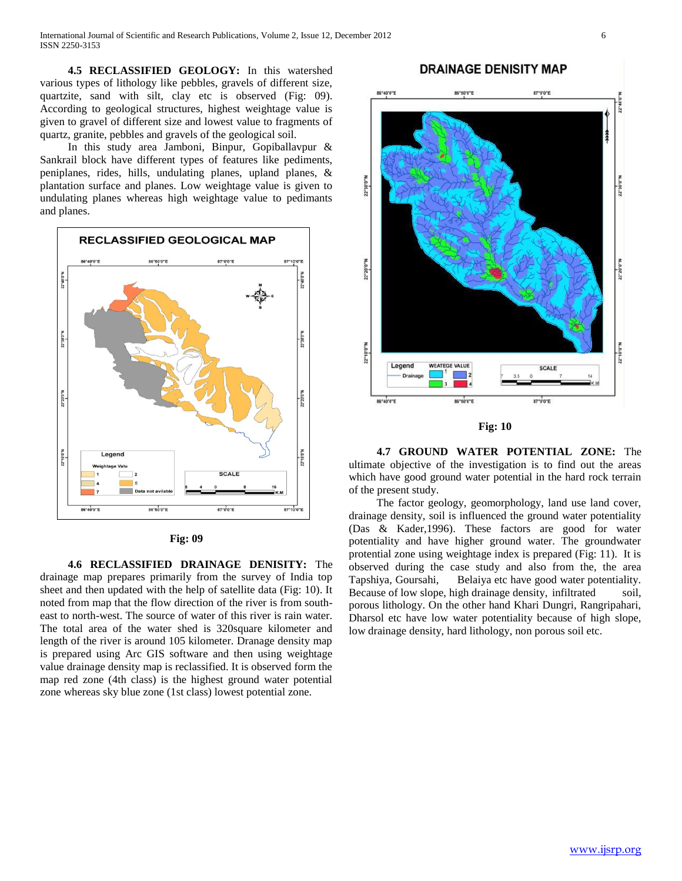**4.5 RECLASSIFIED GEOLOGY:** In this watershed various types of lithology like pebbles, gravels of different size, quartzite, sand with silt, clay etc is observed (Fig: 09). According to geological structures, highest weightage value is given to gravel of different size and lowest value to fragments of quartz, granite, pebbles and gravels of the geological soil.

In this study area Jamboni, Binpur, Gopiballavpur & Sankrail block have different types of features like pediments, peniplanes, rides, hills, undulating planes, upland planes, & plantation surface and planes. Low weightage value is given to undulating planes whereas high weightage value to pedimants and planes.





 **4.6 RECLASSIFIED DRAINAGE DENISITY:** The drainage map prepares primarily from the survey of India top sheet and then updated with the help of satellite data (Fig: 10). It noted from map that the flow direction of the river is from southeast to north-west. The source of water of this river is rain water. The total area of the water shed is 320square kilometer and length of the river is around 105 kilometer. Dranage density map is prepared using Arc GIS software and then using weightage value drainage density map is reclassified. It is observed form the map red zone (4th class) is the highest ground water potential zone whereas sky blue zone (1st class) lowest potential zone.

# **DRAINAGE DENISITY MAP**





 **4.7 GROUND WATER POTENTIAL ZONE:** The ultimate objective of the investigation is to find out the areas which have good ground water potential in the hard rock terrain of the present study.

The factor geology, geomorphology, land use land cover, drainage density, soil is influenced the ground water potentiality (Das & Kader,1996). These factors are good for water potentiality and have higher ground water. The groundwater protential zone using weightage index is prepared (Fig: 11). It is observed during the case study and also from the, the area Tapshiya, Goursahi, Belaiya etc have good water potentiality. Because of low slope, high drainage density, infiltrated soil, porous lithology. On the other hand Khari Dungri, Rangripahari, Dharsol etc have low water potentiality because of high slope, low drainage density, hard lithology, non porous soil etc.